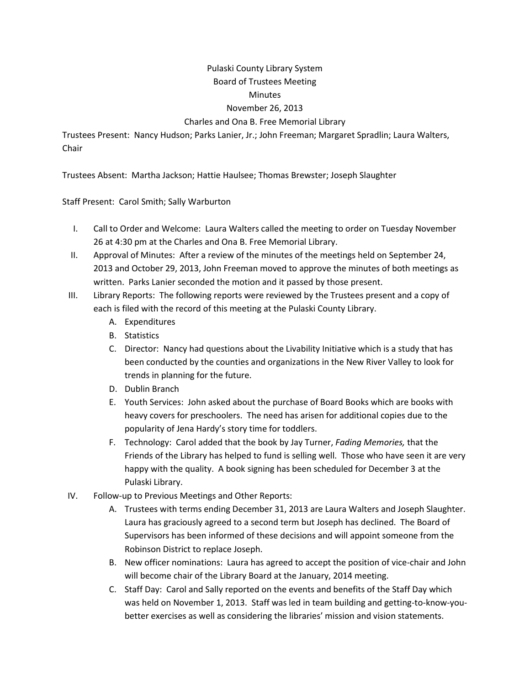## Pulaski County Library System Board of Trustees Meeting **Minutes** November 26, 2013 Charles and Ona B. Free Memorial Library

Trustees Present: Nancy Hudson; Parks Lanier, Jr.; John Freeman; Margaret Spradlin; Laura Walters, Chair

Trustees Absent: Martha Jackson; Hattie Haulsee; Thomas Brewster; Joseph Slaughter

Staff Present: Carol Smith; Sally Warburton

- I. Call to Order and Welcome: Laura Walters called the meeting to order on Tuesday November 26 at 4:30 pm at the Charles and Ona B. Free Memorial Library.
- II. Approval of Minutes: After a review of the minutes of the meetings held on September 24, 2013 and October 29, 2013, John Freeman moved to approve the minutes of both meetings as written. Parks Lanier seconded the motion and it passed by those present.
- III. Library Reports: The following reports were reviewed by the Trustees present and a copy of each is filed with the record of this meeting at the Pulaski County Library.
	- A. Expenditures
	- B. Statistics
	- C. Director: Nancy had questions about the Livability Initiative which is a study that has been conducted by the counties and organizations in the New River Valley to look for trends in planning for the future.
	- D. Dublin Branch
	- E. Youth Services: John asked about the purchase of Board Books which are books with heavy covers for preschoolers. The need has arisen for additional copies due to the popularity of Jena Hardy's story time for toddlers.
	- F. Technology: Carol added that the book by Jay Turner, *Fading Memories,* that the Friends of the Library has helped to fund is selling well. Those who have seen it are very happy with the quality. A book signing has been scheduled for December 3 at the Pulaski Library.
- IV. Follow-up to Previous Meetings and Other Reports:
	- A. Trustees with terms ending December 31, 2013 are Laura Walters and Joseph Slaughter. Laura has graciously agreed to a second term but Joseph has declined. The Board of Supervisors has been informed of these decisions and will appoint someone from the Robinson District to replace Joseph.
	- B. New officer nominations: Laura has agreed to accept the position of vice-chair and John will become chair of the Library Board at the January, 2014 meeting.
	- C. Staff Day: Carol and Sally reported on the events and benefits of the Staff Day which was held on November 1, 2013. Staff was led in team building and getting-to-know-youbetter exercises as well as considering the libraries' mission and vision statements.